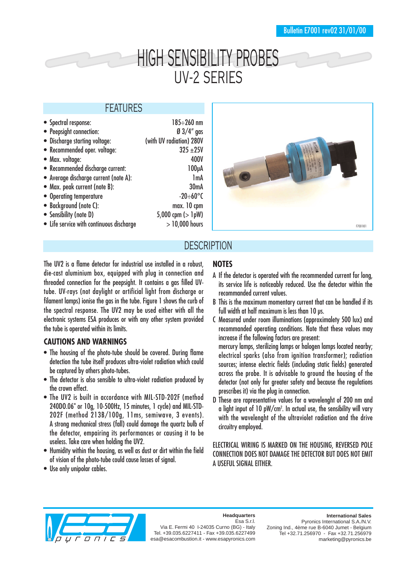# HIGH SENSIBILITY PROBES UV-2 SERIES

### FEATURES

| • Spectral response:                     | $185 - 260$ nm           |
|------------------------------------------|--------------------------|
| • Peepsight connection:                  | $\emptyset$ 3/4" gas     |
| • Discharge starting voltage:            | (with UV radiation) 280V |
| • Recommended oper. voltage:             | $325 + 25V$              |
| • Max. voltage:                          | 400V                     |
| • Recommended discharge current:         | 100 <sub>µ</sub> A       |
| • Average discharge current (note A):    | 1 <sub>m</sub> A         |
| • Max. peak current (note B):            | 30 <sub>m</sub> A        |
| • Operating temperature                  | $-20-60^{\circ}$ C       |
| • Background (note C):                   | max. 10 cpm              |
| • Sensibility (note D)                   | 5,000 cpm $($ > 1pW)     |
| • Life service with continuous discharge | $>10,000$ hours          |
|                                          |                          |



## **DESCRIPTION**

The UV2 is a flame detector for industrial use installed in a robust, die-cast aluminium box, equipped with plug in connection and threaded connection for the peepsight. It contains a gas filled UVtube. UV-rays (not daylight or artificial light from discharge or filament lamps) ionise the gas in the tube. Figure 1 shows the curb of the spectral response. The UV2 may be used either with all the electronic systems ESA produces or with any other system provided the tube is operated within its limits.

#### **CAUTIONS AND WARNINGS**

- The housing of the photo-tube should be covered. During flame detection the tube itself produces ultra-violet radiation which could be captured by others photo-tubes.
- The detector is also sensible to ultra-violet radiation produced by the crown effect.
- The UV2 is built in accordance with MIL-STD-202F (method 240DO.06" or 10g, 10-500Hz, 15 minutes, 1 cycle) and MIL-STD-202F (method 213B/100g, 11ms, semiwave, 3 events). A strong mechanical stress (fall) could damage the quartz bulb of the detector, empairing its performances or causing it to be useless. Take care when holding the UV2.
- Humidity within the housing, as well as dust or dirt within the field of vision of the photo-tube could cause losses of signal.
- Use only unipolar cables.

#### **NOTES**

- A If the detector is operated with the recommended current for long, its service life is noticeably reduced. Use the detector within the recommanded current values.
- B This is the maximum momentary current that can be handled if its full width at half maximum is less than 10 us.
- C Measured under room illuminations (approximalety 500 lux) and recommanded operating conditions. Note that these values may increase if the following factors are present:

mercury lamps, sterilizing lamps or halogen lamps located nearby; electrical sparks (also from ignition transformer); radiation sources; intense electric fields (including static fields) generated across the probe. It is advisable to ground the housing of the detector (not only for greater safety and because the regulations prescribes it) via the plug in connection.

D These are rapresentative values for a wavelenght of 200 nm and a light input of 10 pW/cm². In actual use, the sensibility will vary with the wavelenght of the ultraviolet radiation and the drive circuitry employed.

ELECTRICAL WIRING IS MARKED ON THE HOUSING, REVERSED POLE CONNECTION DOES NOT DAMAGE THE DETECTOR BUT DOES NOT EMIT A USEFUL SIGNAL EITHER.



**Headquarters** Esa S.r.l.

Via E. Fermi 40 I-24035 Curno (BG) - Italy Tel. +39.035.6227411 - Fax +39.035.6227499 esa@esacombustion.it - www.esapyronics.com

Pyronics International S.A./N.V. Zoning Ind., 4ème rue B-6040 Jumet - Belgium Tel +32.71.256970 - Fax +32.71.256979 marketing@pyronics.be

**International Sales**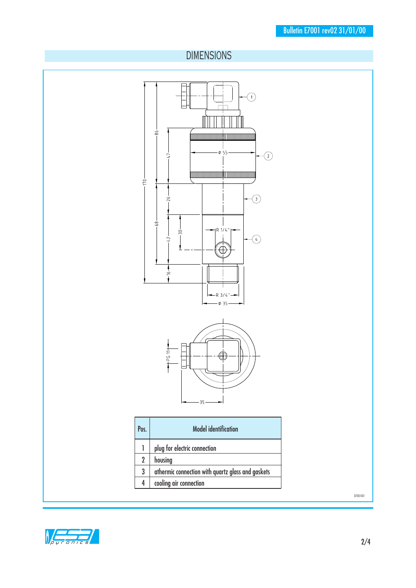# DIMENSIONS



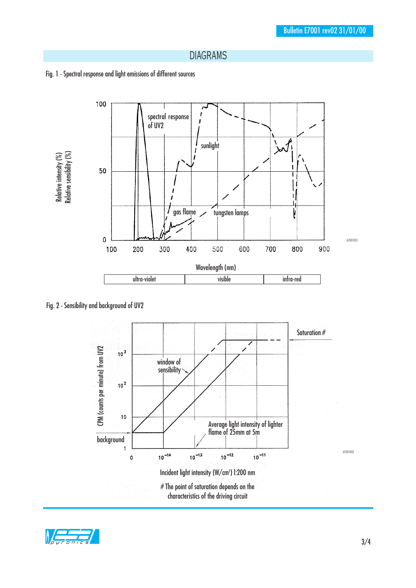#### DIAGRAMS





Fig. 2 - Sensibility and background of UV2